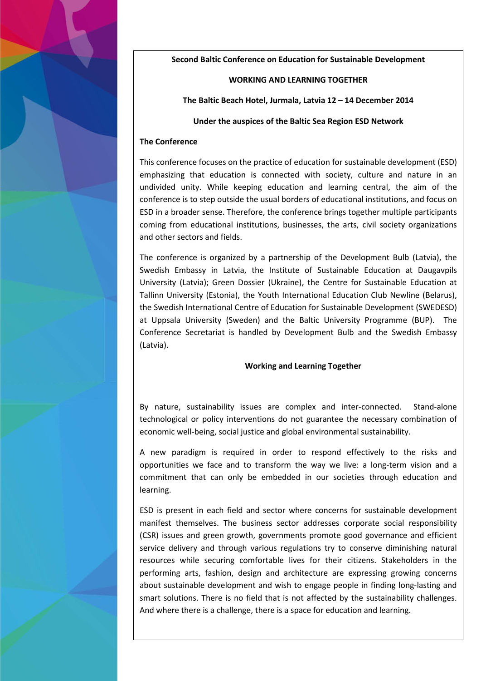**Second Baltic Conference on Education for Sustainable Development**

## **WORKING AND LEARNING TOGETHER**

**The Baltic Beach Hotel, Jurmala, Latvia 12 – 14 December 2014**

## **Under the auspices of the Baltic Sea Region ESD Network**

## **The Conference**

This conference focuses on the practice of education for sustainable development (ESD) emphasizing that education is connected with society, culture and nature in an undivided unity. While keeping education and learning central, the aim of the conference is to step outside the usual borders of educational institutions, and focus on ESD in a broader sense. Therefore, the conference brings together multiple participants coming from educational institutions, businesses, the arts, civil society organizations and other sectors and fields.

The conference is organized by a partnership of the Development Bulb (Latvia), the Swedish Embassy in Latvia, the Institute of Sustainable Education at Daugavpils University (Latvia); Green Dossier (Ukraine), the Centre for Sustainable Education at Tallinn University (Estonia), the Youth International Education Club Newline (Belarus), the Swedish International Centre of Education for Sustainable Development (SWEDESD) at Uppsala University (Sweden) and the Baltic University Programme (BUP). The Conference Secretariat is handled by Development Bulb and the Swedish Embassy (Latvia).

## **Working and Learning Together**

By nature, sustainability issues are complex and inter-connected. Stand-alone technological or policy interventions do not guarantee the necessary combination of economic well-being, social justice and global environmental sustainability.

A new paradigm is required in order to respond effectively to the risks and opportunities we face and to transform the way we live: a long-term vision and a commitment that can only be embedded in our societies through education and learning.

ESD is present in each field and sector where concerns for sustainable development manifest themselves. The business sector addresses corporate social responsibility (CSR) issues and green growth, governments promote good governance and efficient service delivery and through various regulations try to conserve diminishing natural resources while securing comfortable lives for their citizens. Stakeholders in the performing arts, fashion, design and architecture are expressing growing concerns about sustainable development and wish to engage people in finding long-lasting and smart solutions. There is no field that is not affected by the sustainability challenges. And where there is a challenge, there is a space for education and learning.